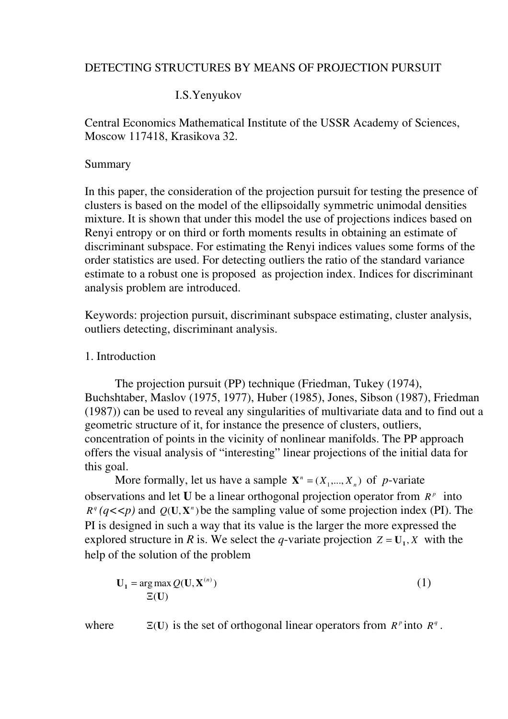## DETECTING STRUCTURES BY MEANS OF PROJECTION PURSUIT

# I.S.Yenyukov

Central Economics Mathematical Institute of the USSR Academy of Sciences, Moscow 117418, Krasikova 32.

# Summary

In this paper, the consideration of the projection pursuit for testing the presence of clusters is based on the model of the ellipsoidally symmetric unimodal densities mixture. It is shown that under this model the use of projections indices based on Renyi entropy or on third or forth moments results in obtaining an estimate of discriminant subspace. For estimating the Renyi indices values some forms of the order statistics are used. For detecting outliers the ratio of the standard variance estimate to a robust one is proposed as projection index. Indices for discriminant analysis problem are introduced.

Keywords: projection pursuit, discriminant subspace estimating, cluster analysis, outliers detecting, discriminant analysis.

# 1. Introduction

 The projection pursuit (PP) technique (Friedman, Tukey (1974), Buchshtaber, Maslov (1975, 1977), Huber (1985), Jones, Sibson (1987), Friedman (1987)) can be used to reveal any singularities of multivariate data and to find out a geometric structure of it, for instance the presence of clusters, outliers, concentration of points in the vicinity of nonlinear manifolds. The PP approach offers the visual analysis of "interesting" linear projections of the initial data for this goal.

More formally, let us have a sample  $X^n = (X_1, ..., X_n)$  of *p*-variate observations and let U be a linear orthogonal projection operator from  $R^p$  into  $R^q (q<\langle p \rangle)$  and  $Q(U, X^n)$  be the sampling value of some projection index (PI). The PI is designed in such a way that its value is the larger the more expressed the explored structure in R is. We select the q-variate projection  $Z = U_1, X$  with the help of the solution of the problem

$$
\mathbf{U}_1 = \arg \max \mathcal{Q}(\mathbf{U}, \mathbf{X}^{(n)})
$$
  

$$
\Xi(\mathbf{U})
$$
 (1)

where  $\Xi(U)$  is the set of orthogonal linear operators from  $R^p$  into  $R^q$ .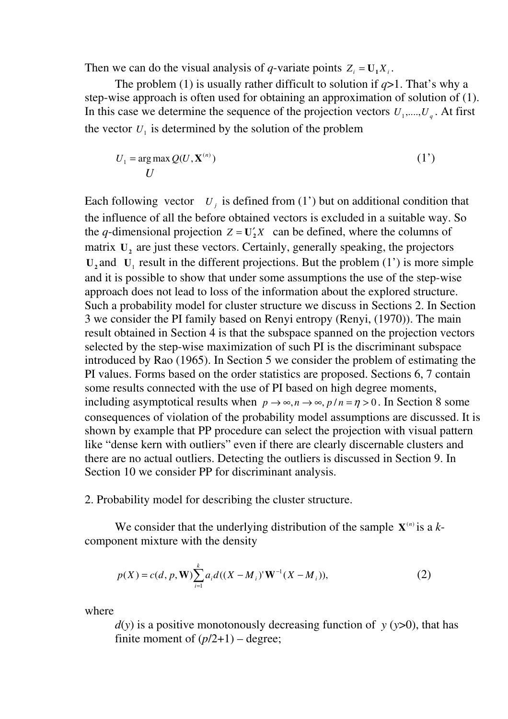Then we can do the visual analysis of q-variate points  $Z_i = U_1 X_i$ .

The problem (1) is usually rather difficult to solution if  $q>1$ . That's why a step-wise approach is often used for obtaining an approximation of solution of (1). In this case we determine the sequence of the projection vectors  $U_1, \dots, U_q$ . At first the vector  $U_1$  is determined by the solution of the problem

$$
U_1 = \arg \max Q(U, \mathbf{X}^{(n)})
$$
 (1')

Each following vector  $U_j$  is defined from (1') but on additional condition that the influence of all the before obtained vectors is excluded in a suitable way. So the q-dimensional projection  $Z = U'_2 X$  can be defined, where the columns of matrix  $U_2$  are just these vectors. Certainly, generally speaking, the projectors  $U_2$  and  $U_1$  result in the different projections. But the problem (1') is more simple and it is possible to show that under some assumptions the use of the step-wise approach does not lead to loss of the information about the explored structure. Such a probability model for cluster structure we discuss in Sections 2. In Section 3 we consider the PI family based on Renyi entropy (Renyi, (1970)). The main result obtained in Section 4 is that the subspace spanned on the projection vectors selected by the step-wise maximization of such PI is the discriminant subspace introduced by Rao (1965). In Section 5 we consider the problem of estimating the PI values. Forms based on the order statistics are proposed. Sections 6, 7 contain some results connected with the use of PI based on high degree moments, including asymptotical results when  $p \to \infty$ ,  $n \to \infty$ ,  $p/n = \eta > 0$ . In Section 8 some consequences of violation of the probability model assumptions are discussed. It is shown by example that PP procedure can select the projection with visual pattern like "dense kern with outliers" even if there are clearly discernable clusters and there are no actual outliers. Detecting the outliers is discussed in Section 9. In Section 10 we consider PP for discriminant analysis.

2. Probability model for describing the cluster structure.

We consider that the underlying distribution of the sample  $X^{(n)}$  is a kcomponent mixture with the density

$$
p(X) = c(d, p, \mathbf{W}) \sum_{i=1}^{k} a_i d((X - M_i)^{\mathsf{T}} \mathbf{W}^{-1} (X - M_i)),
$$
\n(2)

where

 $d(y)$  is a positive monotonously decreasing function of y (y>0), that has finite moment of  $(p/2+1)$  – degree;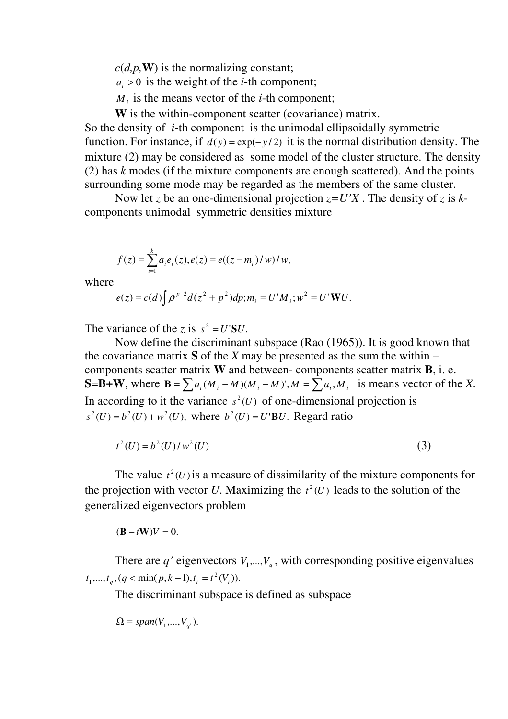$c(d,p,\mathbf{W})$  is the normalizing constant;

- $a_i > 0$  is the weight of the *i*-th component;
- $M_i$  is the means vector of the *i*-th component;

W is the within-component scatter (covariance) matrix.

So the density of  $i$ -th component is the unimodal ellipsoidally symmetric function. For instance, if  $d(y) = \exp(-y/2)$  it is the normal distribution density. The mixture (2) may be considered as some model of the cluster structure. The density (2) has  $k$  modes (if the mixture components are enough scattered). And the points surrounding some mode may be regarded as the members of the same cluster.

Now let z be an one-dimensional projection  $z=U'X$ . The density of z is kcomponents unimodal symmetric densities mixture

$$
f(z) = \sum_{i=1}^{k} a_i e_i(z), e(z) = e((z - m_i)/w) / w,
$$

where

$$
e(z) = c(d) \int \rho^{p-2} d(z^2 + p^2) dp; m_i = U'M_i; w^2 = U' \mathbf{W} U.
$$

The variance of the z is  $s^2 = U'SU$ .

 Now define the discriminant subspace (Rao (1965)). It is good known that the covariance matrix S of the X may be presented as the sum the within  $$ components scatter matrix  $W$  and between- components scatter matrix  $B$ , i. e. S=B+W, where  $B = \sum a_i (M_i - M)(M_i - M)^t$ ,  $M = \sum a_i M_i$  is means vector of the X. In according to it the variance  $s^2(U)$  of one-dimensional projection is  $s^{2}(U) = b^{2}(U) + w^{2}(U)$ , where  $b^{2}(U) = U'BU$ . Regard ratio

$$
t^2(U) = b^2(U)/w^2(U)
$$
 (3)

The value  $t^2(U)$  is a measure of dissimilarity of the mixture components for the projection with vector U. Maximizing the  $t^2(U)$  leads to the solution of the generalized eigenvectors problem

 $(\mathbf{B} - t\mathbf{W})V = 0.$ 

There are q' eigenvectors  $V_1, ..., V_q$ , with corresponding positive eigenvalues  $t_1, ..., t_q$ ,  $(q < \min(p, k - 1), t_i = t^2(V_i)).$ 

The discriminant subspace is defined as subspace

$$
\Omega = span(V_1, ..., V_{q^{\prime}}).
$$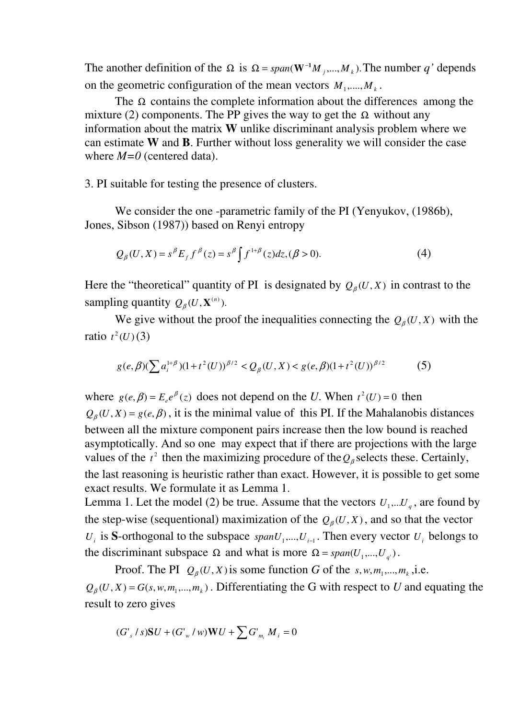The another definition of the  $\Omega$  is  $\Omega = span(\mathbf{W}^{-1}M_j,..., M_k)$ . The number q' depends on the geometric configuration of the mean vectors  $M_1, \dots, M_k$ .

The  $\Omega$  contains the complete information about the differences among the mixture (2) components. The PP gives the way to get the  $\Omega$  without any information about the matrix W unlike discriminant analysis problem where we can estimate W and B. Further without loss generality we will consider the case where  $M=0$  (centered data).

3. PI suitable for testing the presence of clusters.

We consider the one -parametric family of the PI (Yenyukov, (1986b), Jones, Sibson (1987)) based on Renyi entropy

$$
Q_{\beta}(U, X) = s^{\beta} E_f f^{\beta}(z) = s^{\beta} \int f^{1+\beta}(z) dz, (\beta > 0).
$$
 (4)

Here the "theoretical" quantity of PI is designated by  $Q_{\beta}(U, X)$  in contrast to the sampling quantity  $Q_{\beta}(U, \mathbf{X}^{(n)})$ .

We give without the proof the inequalities connecting the  $Q_{\beta}(U, X)$  with the ratio  $t^2(U)(3)$ 

$$
g(e,\beta)(\sum a_i^{1+\beta})(1+t^2(U))^{\beta/2} < Q_{\beta}(U,X) < g(e,\beta)(1+t^2(U))^{\beta/2}
$$
 (5)

where  $g(e, \beta) = E_e e^{\beta}(z)$  $\beta$ ) =  $E_e e^{\beta}(z)$  does not depend on the U. When  $t^2(U) = 0$  then  $Q_{\beta}(U, X) = g(e, \beta)$ , it is the minimal value of this PI. If the Mahalanobis distances between all the mixture component pairs increase then the low bound is reached asymptotically. And so one may expect that if there are projections with the large values of the  $t^2$  then the maximizing procedure of the  $Q_\beta$  selects these. Certainly, the last reasoning is heuristic rather than exact. However, it is possible to get some exact results. We formulate it as Lemma 1. Lemma 1. Let the model (2) be true. Assume that the vectors  $U_1,...U_q$ , are found by the step-wise (sequentional) maximization of the  $Q_{\beta}(U, X)$ , and so that the vector

 $U_i$  is S-orthogonal to the subspace  $span U_1, ..., U_{i-1}$ . Then every vector  $U_i$  belongs to the discriminant subspace  $\Omega$  and what is more  $\Omega = span(U_1, ..., U_{q})$ .

Proof. The PI  $Q_{\beta}(U, X)$  is some function G of the s, w,  $m_1, ..., m_k$ , i.e.  $Q_{\beta}(U, X) = G(s, w, m_1, ..., m_k)$ . Differentiating the G with respect to U and equating the result to zero gives

$$
(G'_{s} / s)SU + (G'_{w} / w)WU + \sum G'_{m_{i}} M_{i} = 0
$$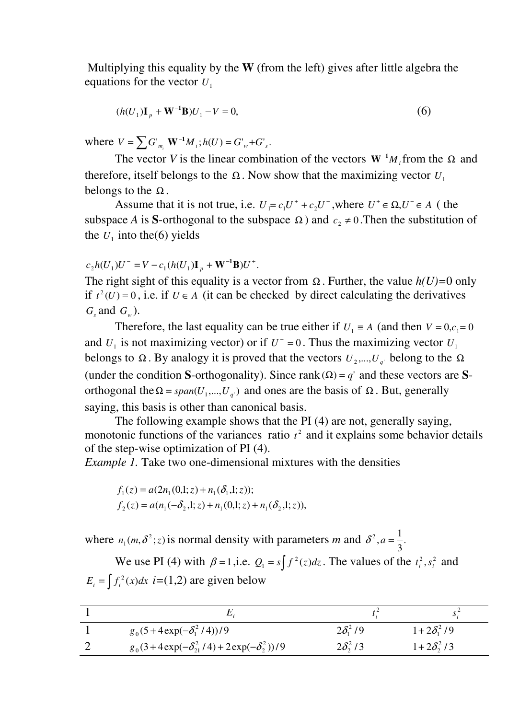Multiplying this equality by the  $W$  (from the left) gives after little algebra the equations for the vector  $U_1$ 

$$
(h(U_1)\mathbf{I}_p + \mathbf{W}^{-1}\mathbf{B})U_1 - V = 0,\t\t(6)
$$

where  $V = \sum G'_{m_i} \mathbf{W}^{-1} M_i$ ;  $h(U) = G'_{w} + G'_{s}$ .

The vector V is the linear combination of the vectors  $W^{-1}M$ <sub>i</sub> from the  $\Omega$  and therefore, itself belongs to the  $\Omega$ . Now show that the maximizing vector  $U_1$ belongs to the  $\Omega$ .

Assume that it is not true, i.e.  $U_1 = c_1U^+ + c_2U^-$ , where  $U^+ \in \Omega, U^- \in A$  (the subspace A is S-orthogonal to the subspace  $\Omega$ ) and  $c_2 \neq 0$ . Then the substitution of the  $U_1$  into the (6) yields

#### $_{2}h(U_{1})U^{-}=V-c_{1}(h(U_{1}){\bf I}_{p}+{\bf W}^{-1}{\bf B})U^{+}.$  $c_2 h(U_1) U^- = V - c_1 (h(U_1) I_p + W^{-1} B) U^+$

The right sight of this equality is a vector from  $\Omega$ . Further, the value  $h(U)=0$  only if  $t^2(U) = 0$ , i.e. if  $U \in A$  (it can be checked by direct calculating the derivatives  $G_s$  and  $G_w$ ).

Therefore, the last equality can be true either if  $U_1 \equiv A$  (and then  $V = 0, c_1 = 0$ and  $U_1$  is not maximizing vector) or if  $U^- = 0$ . Thus the maximizing vector  $U_1$ belongs to  $\Omega$ . By analogy it is proved that the vectors  $U_2, ..., U_q$  belong to the  $\Omega$ (under the condition S-orthogonality). Since rank( $\Omega$ ) = q' and these vectors are Sorthogonal the  $\Omega = span(U_1,..., U_{q})$  and ones are the basis of  $\Omega$ . But, generally saying, this basis is other than canonical basis.

 The following example shows that the PI (4) are not, generally saying, monotonic functions of the variances ratio  $t^2$  and it explains some behavior details of the step-wise optimization of PI (4).

Example 1. Take two one-dimensional mixtures with the densities

$$
f_1(z) = a(2n_1(0,1; z) + n_1(\delta_1,1; z));
$$
  
\n
$$
f_2(z) = a(n_1(-\delta_2,1; z) + n_1(0,1; z) + n_1(\delta_2,1; z)),
$$

where  $n_1(m, \delta^2; z)$  is normal density with parameters m and  $\delta^2$ ,  $a = \frac{1}{3}$ .  $\delta^2$ ,  $a = \frac{1}{2}$ 

We use PI (4) with  $\beta = 1$ , i.e.  $Q_1 = s \int f^2(z) dz$ . The values of the  $t_i^2$ ,  $s_i^2$  and  $E_i = \int f_i^2(x)dx$  *i*=(1,2) are given below

|                                                       |                     | . د               |
|-------------------------------------------------------|---------------------|-------------------|
| $g_0(5+4\exp(-\delta_1^2/4))/9$                       | $2\delta_1^2/9$     | $1+2\delta_1^2/9$ |
| $g_0(3+4\exp(-\delta_{21}^2/4)+2\exp(-\delta_2^2))/9$ | $2\delta_{2}^{2}/3$ | $1+2\delta_2^2/3$ |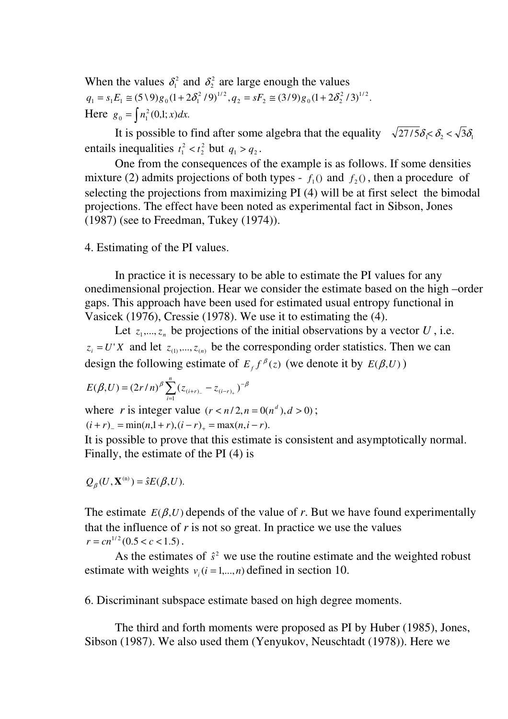When the values  $\delta_1^2$  and  $\delta_2^2$  are large enough the values  $(5\setminus 9)g_0(1+2\delta_1^2/9)^{1/2}, q_2 = sF_2 \cong (3/9)g_0(1+2\delta_2^2/3)^{1/2}.$  $2 - 31$   $2 = (317)80(1 + 202)$  $q_1 = s_1 E_1 \cong (5 \setminus 9) g_0 (1 + 2 \delta_1^2 / 9)^{1/2}, q_2 = sF_2 \cong (3/9) g_0 (1 + 2 \delta_2^2)$ Here  $g_0 = \int n_1^2(0,1;x)dx$ .

It is possible to find after some algebra that the equality  $\sqrt{27/5} \delta_1 < \delta_2 < \sqrt{3} \delta_1$ entails inequalities  $t_1^2 < t_2^2$ 2  $t_1^2 < t_2^2$  but  $q_1 > q_2$ .

 One from the consequences of the example is as follows. If some densities mixture (2) admits projections of both types -  $f_1()$  and  $f_2()$ , then a procedure of selecting the projections from maximizing PI (4) will be at first select the bimodal projections. The effect have been noted as experimental fact in Sibson, Jones (1987) (see to Freedman, Tukey (1974)).

### 4. Estimating of the PI values.

 In practice it is necessary to be able to estimate the PI values for any onedimensional projection. Hear we consider the estimate based on the high –order gaps. This approach have been used for estimated usual entropy functional in Vasicek (1976), Cressie (1978). We use it to estimating the (4).

Let  $z_1, \ldots, z_n$  be projections of the initial observations by a vector U, i.e.  $z_i = U'X$  and let  $z_{(1)},..., z_{(n)}$  be the corresponding order statistics. Then we can design the following estimate of  $E_f f^{\beta}(z)$  $^{\beta}(z)$  (we denote it by  $E(\beta,U)$ )

$$
E(\beta, U) = (2r/n)^{\beta} \sum_{i=1}^{n} (z_{(i+r)_{-}} - z_{(i-r)_{+}})^{-\beta}
$$

where r is integer value  $(r < n/2, n = 0(n^d), d > 0)$ ;

 $(i + r)$  = min(n,1 + r),  $(i - r)$  = max(n,i - r).

It is possible to prove that this estimate is consistent and asymptotically normal. Finally, the estimate of the PI (4) is

$$
Q_{\beta}(U, \mathbf{X}^{(n)}) = \hat{s}E(\beta, U).
$$

The estimate  $E(\beta, U)$  depends of the value of r. But we have found experimentally that the influence of  $r$  is not so great. In practice we use the values  $r = c n^{1/2} (0.5 < c < 1.5)$ .

As the estimates of  $\hat{s}^2$  we use the routine estimate and the weighted robust estimate with weights  $v_i$  ( $i = 1,...,n$ ) defined in section 10.

6. Discriminant subspace estimate based on high degree moments.

 The third and forth moments were proposed as PI by Huber (1985), Jones, Sibson (1987). We also used them (Yenyukov, Neuschtadt (1978)). Here we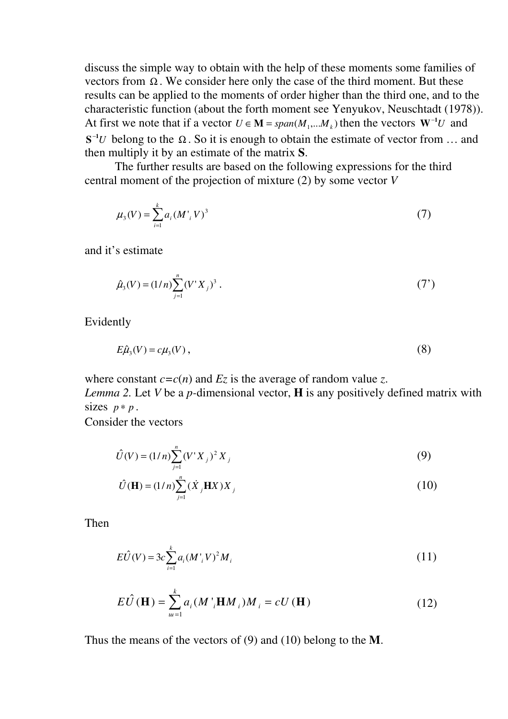discuss the simple way to obtain with the help of these moments some families of vectors from  $\Omega$ . We consider here only the case of the third moment. But these results can be applied to the moments of order higher than the third one, and to the characteristic function (about the forth moment see Yenyukov, Neuschtadt (1978)). At first we note that if a vector  $U \in \mathbf{M} = span(M_1, ..., M_k)$  then the vectors  $\mathbf{W}^{-1}U$  and  $S^{-1}U$  belong to the  $\Omega$ . So it is enough to obtain the estimate of vector from ... and then multiply it by an estimate of the matrix S.

 The further results are based on the following expressions for the third central moment of the projection of mixture  $(2)$  by some vector  $V$ 

$$
\mu_3(V) = \sum_{i=1}^k a_i (M'_i V)^3
$$
\n(7)

and it's estimate

$$
\hat{\mu}_3(V) = (1/n) \sum_{j=1}^n (V'X_j)^3 . \tag{7'}
$$

Evidently

$$
E\hat{\mu}_3(V) = c\mu_3(V) \,,\tag{8}
$$

where constant  $c = c(n)$  and  $E_z$  is the average of random value z.

Lemma 2. Let V be a p-dimensional vector,  $H$  is any positively defined matrix with sizes  $p * p$ .

Consider the vectors

$$
\hat{U}(V) = (1/n)\sum_{j=1}^{n} (V'X_j)^2 X_j
$$
\n(9)

$$
\hat{U}(\mathbf{H}) = (1/n)\sum_{j=1}^{n} (\dot{X}_j \mathbf{H} X) X_j
$$
\n(10)

Then

$$
E\hat{U}(V) = 3c \sum_{i=1}^{k} a_i (M'_i V)^2 M_i
$$
 (11)

$$
E\hat{U}(\mathbf{H}) = \sum_{u=1}^{k} a_i (M'_{i} \mathbf{H} M_{i}) M_{i} = cU(\mathbf{H})
$$
 (12)

Thus the means of the vectors of  $(9)$  and  $(10)$  belong to the M.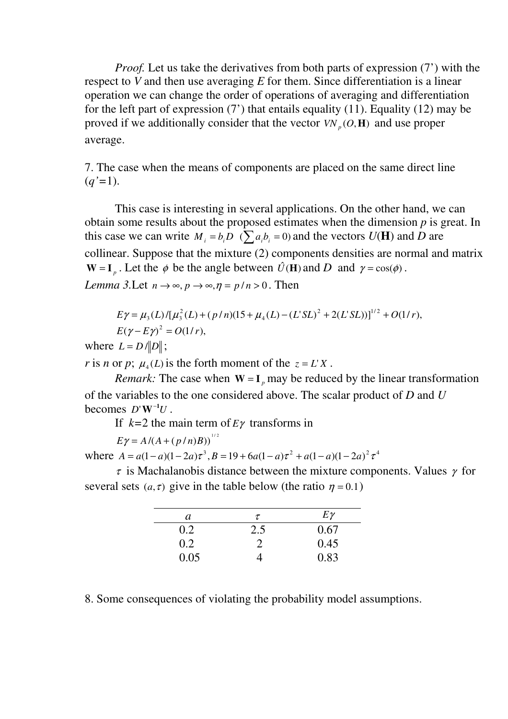Proof. Let us take the derivatives from both parts of expression (7') with the respect to V and then use averaging  $E$  for them. Since differentiation is a linear operation we can change the order of operations of averaging and differentiation for the left part of expression  $(7')$  that entails equality  $(11)$ . Equality  $(12)$  may be proved if we additionally consider that the vector  $VN_p(O, H)$  and use proper average.

7. The case when the means of components are placed on the same direct line  $(q'=1)$ .

 This case is interesting in several applications. On the other hand, we can obtain some results about the proposed estimates when the dimension  $p$  is great. In this case we can write  $M_i = b_i \overline{D}$  ( $\sum a_i b_i = 0$ ) and the vectors  $U(H)$  and  $\overline{D}$  are collinear. Suppose that the mixture (2) components densities are normal and matrix  $W = I_n$ . Let the  $\phi$  be the angle between  $\hat{U}$ (**H**) and D and  $\gamma = \cos(\phi)$ . Lemma 3.Let  $n \to \infty$ ,  $p \to \infty$ ,  $\eta = p/n > 0$ . Then

 $(L)/[\mu_3^2(L)+(p/n)(15+\mu_4(L)-(L'SL)^2+2(L'SL))]^{1/2}+O(1/r),$  $E\gamma = \mu_3(L)/[\mu_3^2(L) + (p/n)(15 + \mu_4(L) - (L^rSL)^2 + 2(L^rSL))]^{1/2} + O(1/r)$  $E(\gamma - E\gamma)^2 = O(1/r),$ 

where  $L = D / ||D||$ ;

r is n or p;  $\mu_4(L)$  is the forth moment of the  $z = L' X$ .

*Remark:* The case when  $W = I_n$  may be reduced by the linear transformation of the variables to the one considered above. The scalar product of  $D$  and  $U$ becomes  $D'W^{-1}U$ .

If  $k=2$  the main term of  $E\gamma$  transforms in

 $E\gamma = A/(A + (p/n)B))^{1/2}$ 

where  $A = a(1 - a)(1 - 2a)\tau^3$ ,  $B = 19 + 6a(1 - a)\tau^2 + a(1 - a)(1 - 2a)^2 \tau^4$ 

 $\tau$  is Machalanobis distance between the mixture components. Values  $\gamma$  for several sets (a, τ) give in the table below (the ratio  $\eta = 0.1$ )

| a    | $\tau$ | $E\gamma$ |
|------|--------|-----------|
| 0.2  | 2.5    | 0.67      |
| 0.2  |        | 0.45      |
| 0.05 |        | 0.83      |

8. Some consequences of violating the probability model assumptions.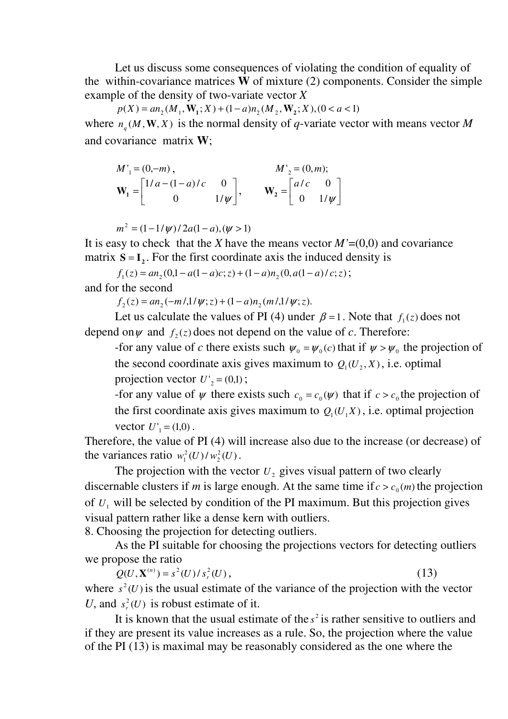Let us discuss some consequences of violating the condition of equality of the within-covariance matrices  $\dot{W}$  of mixture (2) components. Consider the simple example of the density of two-variate vector  $X$ 

 $p(X) = an_2(M_1, \mathbf{W}_1; X) + (1 - a)n_2(M_2, \mathbf{W}_2; X), (0 < a < 1)$ where  $n_a(M, W, X)$  is the normal density of q-variate vector with means vector M and covariance matrix W;

$$
M'_{1} = (0, -m),
$$
  
\n
$$
\mathbf{W}_{1} = \begin{bmatrix} 1/a - (1-a)/c & 0 \\ 0 & 1/\psi \end{bmatrix},
$$
  
\n
$$
\mathbf{W}_{2} = \begin{bmatrix} a/c & 0 \\ 0 & 1/\psi \end{bmatrix}
$$

 $m^2 = (1 - 1/\psi) / 2a(1 - a), (\psi > 1)$ 

It is easy to check that the X have the means vector  $M'=(0,0)$  and covariance matrix  $S = I_2$ . For the first coordinate axis the induced density is

 $f_1(z) = a n_2(0,1 - a(1 - a)c; z) + (1 - a)n_2(0, a(1 - a)/c; z);$ 

and for the second

 $f_2(z) = an_2(-m/1/\psi; z) + (1 - a)n_2(m/1/\psi; z).$ 

Let us calculate the values of PI (4) under  $\beta = 1$ . Note that  $f_1(z)$  does not depend on  $\psi$  and  $f_2(z)$  does not depend on the value of c. Therefore:

-for any value of c there exists such  $\psi_0 = \psi_0(c)$  that if  $\psi > \psi_0$  the projection of the second coordinate axis gives maximum to  $Q_1(U_2, X)$ , i.e. optimal projection vector  $U'_{2} = (0,1);$ 

-for any value of  $\psi$  there exists such  $c_0 = c_0(\psi)$  that if  $c > c_0$  the projection of the first coordinate axis gives maximum to  $Q_1(U,X)$ , i.e. optimal projection vector  $U'_{1} = (1,0)$ .

Therefore, the value of PI (4) will increase also due to the increase (or decrease) of the variances ratio  $w_1^2(U)/w_2^2(U)$ 2  $w_1^2(U)/w_2^2(U)$ .

The projection with the vector  $U_2$  gives visual pattern of two clearly discernable clusters if m is large enough. At the same time if  $c > c_0(m)$  the projection of  $U_1$  will be selected by condition of the PI maximum. But this projection gives visual pattern rather like a dense kern with outliers.

8. Choosing the projection for detecting outliers.

 As the PI suitable for choosing the projections vectors for detecting outliers we propose the ratio

 $Q(U, \mathbf{X}^{(n)}) = s^2(U)/s_r^2(U)$ , (13) where  $s^2(U)$  is the usual estimate of the variance of the projection with the vector U, and  $s_r^2(U)$  is robust estimate of it.

It is known that the usual estimate of the  $s^2$  is rather sensitive to outliers and if they are present its value increases as a rule. So, the projection where the value of the PI (13) is maximal may be reasonably considered as the one where the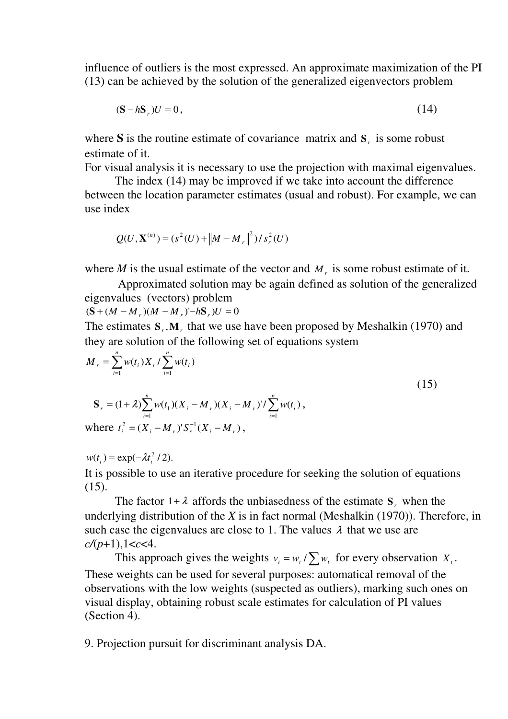influence of outliers is the most expressed. An approximate maximization of the PI (13) can be achieved by the solution of the generalized eigenvectors problem

$$
(\mathbf{S} - h\mathbf{S}_r)U = 0,\tag{14}
$$

where S is the routine estimate of covariance matrix and  $S<sub>r</sub>$  is some robust estimate of it.

For visual analysis it is necessary to use the projection with maximal eigenvalues.

 The index (14) may be improved if we take into account the difference between the location parameter estimates (usual and robust). For example, we can use index

$$
Q(U, \mathbf{X}^{(n)}) = (s^2(U) + ||M - M_r||^2) / s_r^2(U)
$$

where  $M$  is the usual estimate of the vector and  $M<sub>r</sub>$  is some robust estimate of it.

 Approximated solution may be again defined as solution of the generalized eigenvalues (vectors) problem

 $({\bf S} + (M - M_{r})(M - M_{r})'$ –h ${\bf S}_{r}$ ) $U = 0$ 

The estimates  $S_r$ ,  $M_r$ , that we use have been proposed by Meshalkin (1970) and they are solution of the following set of equations system

$$
M_{r} = \sum_{i=1}^{n} w(t_{i}) X_{i} / \sum_{i=1}^{n} w(t_{i})
$$
  
\n
$$
S_{r} = (1 + \lambda) \sum_{i=1}^{n} w(t_{1}) (X_{i} - M_{r}) (X_{i} - M_{r})' / \sum_{i=1}^{n} w(t_{i}),
$$
  
\nwhere  $t_{i}^{2} = (X_{i} - M_{r})' S_{r}^{-1} (X_{i} - M_{r}),$  (15)

 $w(t_i) = \exp(-\lambda t_i^2 / 2).$ 

It is possible to use an iterative procedure for seeking the solution of equations (15).

The factor  $1 + \lambda$  affords the unbiasedness of the estimate  $S_r$ , when the underlying distribution of the  $X$  is in fact normal (Meshalkin (1970)). Therefore, in such case the eigenvalues are close to 1. The values  $\lambda$  that we use are  $c/(p+1),1 < c < 4.$ 

This approach gives the weights  $v_i = w_i / \sum w_i$  for every observation  $X_i$ . These weights can be used for several purposes: automatical removal of the observations with the low weights (suspected as outliers), marking such ones on visual display, obtaining robust scale estimates for calculation of PI values (Section 4).

9. Projection pursuit for discriminant analysis DA.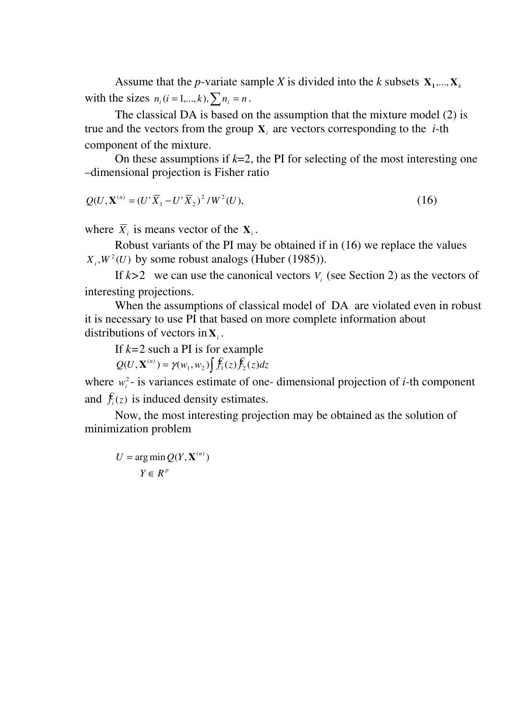Assume that the *p*-variate sample *X* is divided into the *k* subsets  $X_1, ..., X_k$ with the sizes  $n_i$  (*i* = 1,...,*k*),  $\sum n_i$  = *n*.

 The classical DA is based on the assumption that the mixture model (2) is true and the vectors from the group  $X_i$  are vectors corresponding to the *i*-th component of the mixture.

On these assumptions if  $k=2$ , the PI for selecting of the most interesting one –dimensional projection is Fisher ratio

$$
Q(U, \mathbf{X}^{(n)} = (U' \overline{X}_1 - U' \overline{X}_2)^2 / W^2(U), \tag{16}
$$

where  $\overline{X}_i$  is means vector of the  $X_i$ .

 Robust variants of the PI may be obtained if in (16) we replace the values  $X_i$ ,  $W^2(U)$  by some robust analogs (Huber (1985)).

If  $k > 2$  we can use the canonical vectors  $V_i$  (see Section 2) as the vectors of interesting projections.

 When the assumptions of classical model of DA are violated even in robust it is necessary to use PI that based on more complete information about distributions of vectors in  $X_i$ .

If  $k=2$  such a PI is for example

 $Q(U, \mathbf{X}^{(n)}) = \gamma(w_1, w_2) \int \mathbf{f}_1(z) \mathbf{f}_2(z) dz$ 

where  $w_i^2$ - is variances estimate of one- dimensional projection of *i*-th component and  $\mathbf{f}_i(z)$  is induced density estimates.

Now, the most interesting projection may be obtained as the solution of minimization problem

$$
U = \arg\min Q(Y, \mathbf{X}^{(n)})
$$

$$
Y \in R^{p}
$$